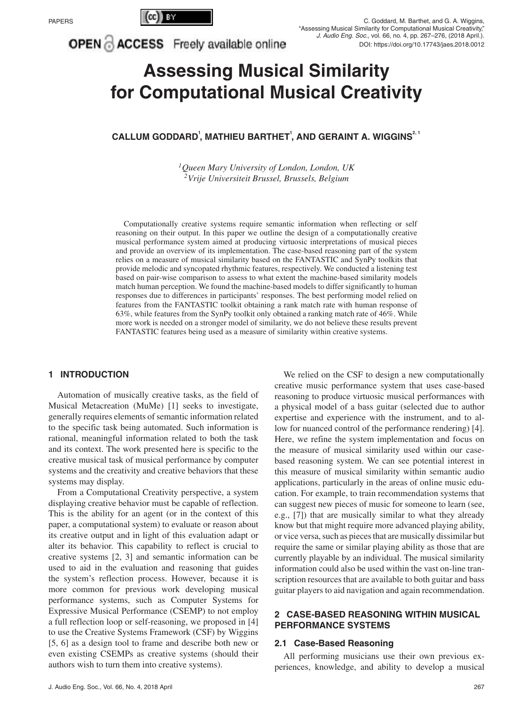

OPEN & ACCESS Freely available online

# **Assessing Musical Similarity for Computational Musical Creativity**

# **CALLUM GODDARD1 , MATHIEU BARTHET1 , AND GERAINT A. WIGGINS2***,* **<sup>1</sup>**

*1Queen Mary University of London, London, UK 2Vrije Universiteit Brussel, Brussels, Belgium*

Computationally creative systems require semantic information when reflecting or self reasoning on their output. In this paper we outline the design of a computationally creative musical performance system aimed at producing virtuosic interpretations of musical pieces and provide an overview of its implementation. The case-based reasoning part of the system relies on a measure of musical similarity based on the FANTASTIC and SynPy toolkits that provide melodic and syncopated rhythmic features, respectively. We conducted a listening test based on pair-wise comparison to assess to what extent the machine-based similarity models match human perception. We found the machine-based models to differ significantly to human responses due to differences in participants' responses. The best performing model relied on features from the FANTASTIC toolkit obtaining a rank match rate with human response of 63%, while features from the SynPy toolkit only obtained a ranking match rate of 46%. While more work is needed on a stronger model of similarity, we do not believe these results prevent FANTASTIC features being used as a measure of similarity within creative systems.

# **1 INTRODUCTION**

Automation of musically creative tasks, as the field of Musical Metacreation (MuMe) [1] seeks to investigate, generally requires elements of semantic information related to the specific task being automated. Such information is rational, meaningful information related to both the task and its context. The work presented here is specific to the creative musical task of musical performance by computer systems and the creativity and creative behaviors that these systems may display.

From a Computational Creativity perspective, a system displaying creative behavior must be capable of reflection. This is the ability for an agent (or in the context of this paper, a computational system) to evaluate or reason about its creative output and in light of this evaluation adapt or alter its behavior. This capability to reflect is crucial to creative systems [2, 3] and semantic information can be used to aid in the evaluation and reasoning that guides the system's reflection process. However, because it is more common for previous work developing musical performance systems, such as Computer Systems for Expressive Musical Performance (CSEMP) to not employ a full reflection loop or self-reasoning, we proposed in [4] to use the Creative Systems Framework (CSF) by Wiggins [5, 6] as a design tool to frame and describe both new or even existing CSEMPs as creative systems (should their authors wish to turn them into creative systems).

We relied on the CSF to design a new computationally creative music performance system that uses case-based reasoning to produce virtuosic musical performances with a physical model of a bass guitar (selected due to author expertise and experience with the instrument, and to allow for nuanced control of the performance rendering) [4]. Here, we refine the system implementation and focus on the measure of musical similarity used within our casebased reasoning system. We can see potential interest in this measure of musical similarity within semantic audio applications, particularly in the areas of online music education. For example, to train recommendation systems that can suggest new pieces of music for someone to learn (see, e.g., [7]) that are musically similar to what they already know but that might require more advanced playing ability, or vice versa, such as pieces that are musically dissimilar but require the same or similar playing ability as those that are currently playable by an individual. The musical similarity information could also be used within the vast on-line transcription resources that are available to both guitar and bass guitar players to aid navigation and again recommendation.

# **2 CASE-BASED REASONING WITHIN MUSICAL PERFORMANCE SYSTEMS**

#### **2.1 Case-Based Reasoning**

All performing musicians use their own previous experiences, knowledge, and ability to develop a musical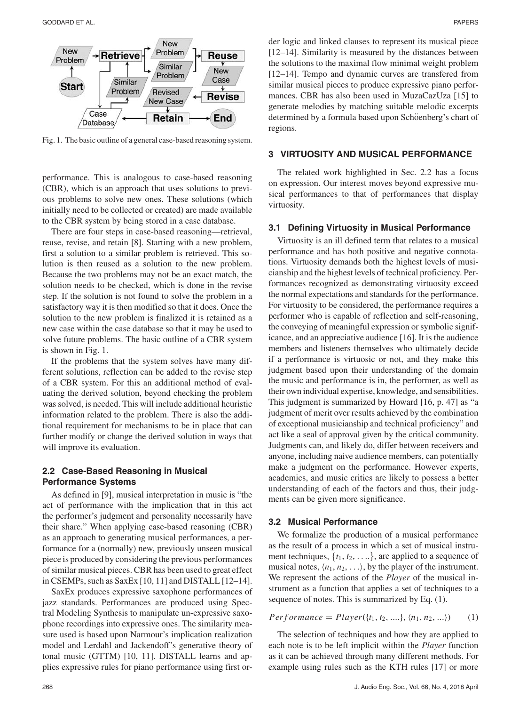

Fig. 1. The basic outline of a general case-based reasoning system.

performance. This is analogous to case-based reasoning (CBR), which is an approach that uses solutions to previous problems to solve new ones. These solutions (which initially need to be collected or created) are made available to the CBR system by being stored in a case database.

There are four steps in case-based reasoning—retrieval, reuse, revise, and retain [8]. Starting with a new problem, first a solution to a similar problem is retrieved. This solution is then reused as a solution to the new problem. Because the two problems may not be an exact match, the solution needs to be checked, which is done in the revise step. If the solution is not found to solve the problem in a satisfactory way it is then modified so that it does. Once the solution to the new problem is finalized it is retained as a new case within the case database so that it may be used to solve future problems. The basic outline of a CBR system is shown in Fig. 1.

If the problems that the system solves have many different solutions, reflection can be added to the revise step of a CBR system. For this an additional method of evaluating the derived solution, beyond checking the problem was solved, is needed. This will include additional heuristic information related to the problem. There is also the additional requirement for mechanisms to be in place that can further modify or change the derived solution in ways that will improve its evaluation.

## **2.2 Case-Based Reasoning in Musical Performance Systems**

As defined in [9], musical interpretation in music is "the act of performance with the implication that in this act the performer's judgment and personality necessarily have their share." When applying case-based reasoning (CBR) as an approach to generating musical performances, a performance for a (normally) new, previously unseen musical piece is produced by considering the previous performances of similar musical pieces. CBR has been used to great effect in CSEMPs, such as SaxEx [10, 11] and DISTALL [12–14].

SaxEx produces expressive saxophone performances of jazz standards. Performances are produced using Spectral Modeling Synthesis to manipulate un-expressive saxophone recordings into expressive ones. The similarity measure used is based upon Narmour's implication realization model and Lerdahl and Jackendoff's generative theory of tonal music (GTTM) [10, 11]. DISTALL learns and applies expressive rules for piano performance using first or-

der logic and linked clauses to represent its musical piece [12–14]. Similarity is measured by the distances between the solutions to the maximal flow minimal weight problem [12–14]. Tempo and dynamic curves are transfered from similar musical pieces to produce expressive piano performances. CBR has also been used in MuzaCazUza [15] to generate melodies by matching suitable melodic excerpts determined by a formula based upon Schöenberg's chart of regions.

### **3 VIRTUOSITY AND MUSICAL PERFORMANCE**

The related work highlighted in Sec. 2.2 has a focus on expression. Our interest moves beyond expressive musical performances to that of performances that display virtuosity.

#### **3.1 Defining Virtuosity in Musical Performance**

Virtuosity is an ill defined term that relates to a musical performance and has both positive and negative connotations. Virtuosity demands both the highest levels of musicianship and the highest levels of technical proficiency. Performances recognized as demonstrating virtuosity exceed the normal expectations and standards for the performance. For virtuosity to be considered, the performance requires a performer who is capable of reflection and self-reasoning, the conveying of meaningful expression or symbolic significance, and an appreciative audience [16]. It is the audience members and listeners themselves who ultimately decide if a performance is virtuosic or not, and they make this judgment based upon their understanding of the domain the music and performance is in, the performer, as well as their own individual expertise, knowledge, and sensibilities. This judgment is summarized by Howard [16, p. 47] as "a judgment of merit over results achieved by the combination of exceptional musicianship and technical proficiency" and act like a seal of approval given by the critical community. Judgments can, and likely do, differ between receivers and anyone, including naive audience members, can potentially make a judgment on the performance. However experts, academics, and music critics are likely to possess a better understanding of each of the factors and thus, their judgments can be given more significance.

#### **3.2 Musical Performance**

We formalize the production of a musical performance as the result of a process in which a set of musical instrument techniques,  $\{t_1, t_2, \ldots\}$ , are applied to a sequence of musical notes,  $\langle n_1, n_2, \ldots \rangle$ , by the player of the instrument. We represent the actions of the *Player* of the musical instrument as a function that applies a set of techniques to a sequence of notes. This is summarized by Eq. (1).

$$
Performance = Player({t_1, t_2, ....}, \langle n_1, n_2, ... \rangle)
$$
 (1)

The selection of techniques and how they are applied to each note is to be left implicit within the *Player* function as it can be achieved through many different methods. For example using rules such as the KTH rules [17] or more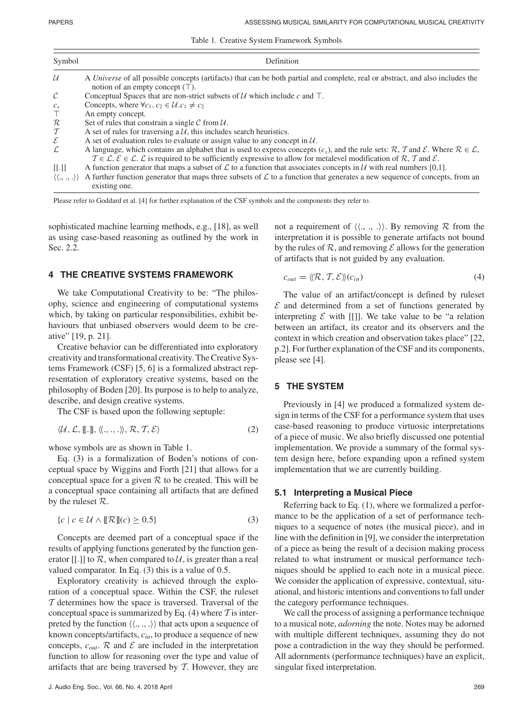Table 1. Creative System Framework Symbols

| Symbol                                    | Definition                                                                                                                                                                                                                                                                                                                                                                                           |
|-------------------------------------------|------------------------------------------------------------------------------------------------------------------------------------------------------------------------------------------------------------------------------------------------------------------------------------------------------------------------------------------------------------------------------------------------------|
| $\mathcal U$                              | A Universe of all possible concepts (artifacts) that can be both partial and complete, real or abstract, and also includes the<br>notion of an empty concept $(T)$ .                                                                                                                                                                                                                                 |
| $\mathcal C$                              | Conceptual Spaces that are non-strict subsets of U which include c and $\top$ .                                                                                                                                                                                                                                                                                                                      |
| $c_x$                                     | Concepts, where $\forall c_1, c_2 \in \mathcal{U}.c_1 \neq c_2$                                                                                                                                                                                                                                                                                                                                      |
|                                           | An empty concept.                                                                                                                                                                                                                                                                                                                                                                                    |
| $\mathcal R$                              | Set of rules that constrain a single $\mathcal C$ from $\mathcal U$ .                                                                                                                                                                                                                                                                                                                                |
| $\mathcal T$                              | A set of rules for traversing a $U$ , this includes search heuristics.                                                                                                                                                                                                                                                                                                                               |
| $\mathcal E$                              | A set of evaluation rules to evaluate or assign value to any concept in $U$ .                                                                                                                                                                                                                                                                                                                        |
|                                           | A language, which contains an alphabet that is used to express concepts $(c_x)$ , and the rule sets: $\mathcal{R}, \mathcal{T}$ and $\mathcal{E}$ . Where $\mathcal{R} \in \mathcal{L}$ ,<br>$\mathcal{T} \in \mathcal{L}, \mathcal{E} \in \mathcal{L}, \mathcal{L}$ is required to be sufficiently expressive to allow for metalevel modification of $\mathcal{R}, \mathcal{T}$ and $\mathcal{E}$ . |
| [[.]]                                     | A function generator that maps a subset of $\mathcal L$ to a function that associates concepts in $\mathcal U$ with real numbers [0,1].                                                                                                                                                                                                                                                              |
| $\langle \langle ., ., . \rangle \rangle$ | A further function generator that maps three subsets of $\mathcal L$ to a function that generates a new sequence of concepts, from an<br>existing one.                                                                                                                                                                                                                                               |

Please refer to Goddard et al. [4] for further explanation of the CSF symbols and the components they refer to.

sophisticated machine learning methods, e.g., [18], as well as using case-based reasoning as outlined by the work in Sec. 2.2.

## **4 THE CREATIVE SYSTEMS FRAMEWORK**

We take Computational Creativity to be: "The philosophy, science and engineering of computational systems which, by taking on particular responsibilities, exhibit behaviours that unbiased observers would deem to be creative" [19, p. 21].

Creative behavior can be differentiated into exploratory creativity and transformational creativity. The Creative Systems Framework (CSF) [5, 6] is a formalized abstract representation of exploratory creative systems, based on the philosophy of Boden [20]. Its purpose is to help to analyze, describe, and design creative systems.

The CSF is based upon the following septuple:

$$
\langle \mathcal{U}, \mathcal{L}, [\![ . \! ], \langle \langle ., ., . \rangle \rangle, \mathcal{R}, \mathcal{T}, \mathcal{E} \rangle \tag{2}
$$

whose symbols are as shown in Table 1.

Eq. (3) is a formalization of Boden's notions of conceptual space by Wiggins and Forth [21] that allows for a conceptual space for a given  $R$  to be created. This will be a conceptual space containing all artifacts that are defined by the ruleset  $R$ .

$$
\{c \mid c \in \mathcal{U} \land \llbracket \mathcal{R} \rrbracket(c) \ge 0.5\} \tag{3}
$$

Concepts are deemed part of a conceptual space if the results of applying functions generated by the function generator [[.]] to  $R$ , when compared to  $U$ , is greater than a real valued comparator. In Eq. (3) this is a value of 0.5.

Exploratory creativity is achieved through the exploration of a conceptual space. Within the CSF, the ruleset T determines how the space is traversed. Traversal of the conceptual space is summarized by Eq. (4) where  $\mathcal T$  is interpreted by the function  $\langle \langle ., ., . \rangle \rangle$  that acts upon a sequence of known concepts/artifacts, *cin*, to produce a sequence of new concepts,  $c_{out}$ .  $R$  and  $\mathcal E$  are included in the interpretation function to allow for reasoning over the type and value of artifacts that are being traversed by  $T$ . However, they are

not a requirement of  $\langle \langle ., ., . \rangle \rangle$ . By removing R from the interpretation it is possible to generate artifacts not bound by the rules of  $\mathcal{R}$ , and removing  $\mathcal E$  allows for the generation of artifacts that is not guided by any evaluation.

$$
c_{out} = \langle \langle \mathcal{R}, \mathcal{T}, \mathcal{E} \rangle \rangle (c_{in}) \tag{4}
$$

The value of an artifact/concept is defined by ruleset  $\mathcal E$  and determined from a set of functions generated by interpreting  $\mathcal E$  with [[]]. We take value to be "a relation between an artifact, its creator and its observers and the context in which creation and observation takes place" [22, p.2]. For further explanation of the CSF and its components, please see [4].

## **5 THE SYSTEM**

Previously in [4] we produced a formalized system design in terms of the CSF for a performance system that uses case-based reasoning to produce virtuosic interpretations of a piece of music. We also briefly discussed one potential implementation. We provide a summary of the formal system design here, before expanding upon a refined system implementation that we are currently building.

#### **5.1 Interpreting a Musical Piece**

Referring back to Eq. (1), where we formalized a performance to be the application of a set of performance techniques to a sequence of notes (the musical piece), and in line with the definition in [9], we consider the interpretation of a piece as being the result of a decision making process related to what instrument or musical performance techniques should be applied to each note in a musical piece. We consider the application of expressive, contextual, situational, and historic intentions and conventions to fall under the category performance techniques.

We call the process of assigning a performance technique to a musical note, *adorning* the note. Notes may be adorned with multiple different techniques, assuming they do not pose a contradiction in the way they should be performed. All adornments (performance techniques) have an explicit, singular fixed interpretation.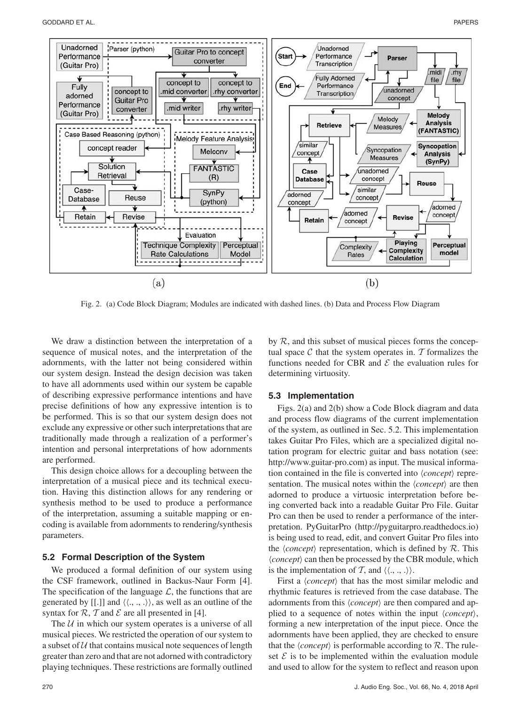

Fig. 2. (a) Code Block Diagram; Modules are indicated with dashed lines. (b) Data and Process Flow Diagram

We draw a distinction between the interpretation of a sequence of musical notes, and the interpretation of the adornments, with the latter not being considered within our system design. Instead the design decision was taken to have all adornments used within our system be capable of describing expressive performance intentions and have precise definitions of how any expressive intention is to be performed. This is so that our system design does not exclude any expressive or other such interpretations that are traditionally made through a realization of a performer's intention and personal interpretations of how adornments are performed.

This design choice allows for a decoupling between the interpretation of a musical piece and its technical execution. Having this distinction allows for any rendering or synthesis method to be used to produce a performance of the interpretation, assuming a suitable mapping or encoding is available from adornments to rendering/synthesis parameters.

## **5.2 Formal Description of the System**

We produced a formal definition of our system using the CSF framework, outlined in Backus-Naur Form [4]. The specification of the language  $\mathcal{L}$ , the functions that are generated by [[.]] and  $\langle \langle ., ., . \rangle \rangle$ , as well as an outline of the syntax for  $\mathcal{R}, \mathcal{T}$  and  $\mathcal{E}$  are all presented in [4].

The  $U$  in which our system operates is a universe of all musical pieces. We restricted the operation of our system to a subset of  $U$  that contains musical note sequences of length greater than zero and that are not adorned with contradictory playing techniques. These restrictions are formally outlined

by  $R$ , and this subset of musical pieces forms the conceptual space  $C$  that the system operates in.  $T$  formalizes the functions needed for CBR and  $\mathcal E$  the evaluation rules for determining virtuosity.

## **5.3 Implementation**

Figs. 2(a) and 2(b) show a Code Block diagram and data and process flow diagrams of the current implementation of the system, as outlined in Sec. 5.2. This implementation takes Guitar Pro Files, which are a specialized digital notation program for electric guitar and bass notation (see: http://www.guitar-pro.com) as input. The musical information contained in the file is converted into  $\langle concept \rangle$  representation. The musical notes within the  $\langle concept \rangle$  are then adorned to produce a virtuosic interpretation before being converted back into a readable Guitar Pro File. Guitar Pro can then be used to render a performance of the interpretation. PyGuitarPro (http://pyguitarpro.readthedocs.io) is being used to read, edit, and convert Guitar Pro files into the  $\langle concept \rangle$  representation, which is defined by  $R$ . This  $\langle concept \rangle$  can then be processed by the CBR module, which is the implementation of T, and  $\langle \langle ., ., . \rangle \rangle$ .

First a *(concept)* that has the most similar melodic and rhythmic features is retrieved from the case database. The adornments from this  $\langle concept \rangle$  are then compared and applied to a sequence of notes within the input  $\langle concept \rangle$ , forming a new interpretation of the input piece. Once the adornments have been applied, they are checked to ensure that the  $\langle concept \rangle$  is performable according to  $R$ . The ruleset  $\mathcal E$  is to be implemented within the evaluation module and used to allow for the system to reflect and reason upon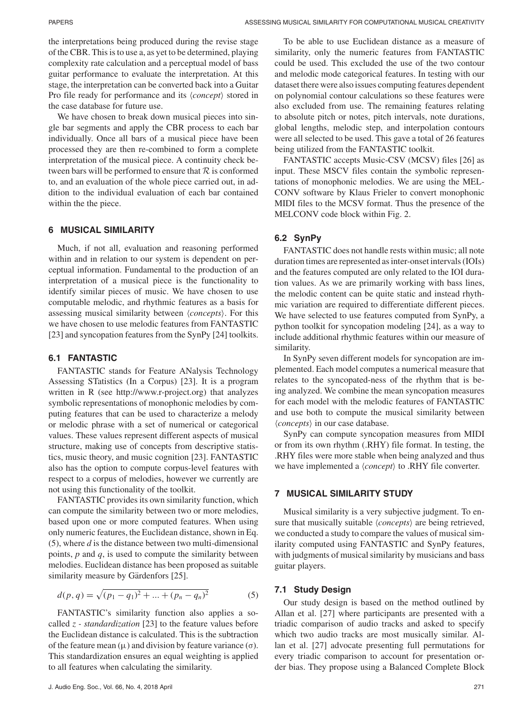the interpretations being produced during the revise stage of the CBR. This is to use a, as yet to be determined, playing complexity rate calculation and a perceptual model of bass guitar performance to evaluate the interpretation. At this stage, the interpretation can be converted back into a Guitar Pro file ready for performance and its (concept) stored in the case database for future use.

We have chosen to break down musical pieces into single bar segments and apply the CBR process to each bar individually. Once all bars of a musical piece have been processed they are then re-combined to form a complete interpretation of the musical piece. A continuity check between bars will be performed to ensure that  $R$  is conformed to, and an evaluation of the whole piece carried out, in addition to the individual evaluation of each bar contained within the the piece.

## **6 MUSICAL SIMILARITY**

Much, if not all, evaluation and reasoning performed within and in relation to our system is dependent on perceptual information. Fundamental to the production of an interpretation of a musical piece is the functionality to identify similar pieces of music. We have chosen to use computable melodic, and rhythmic features as a basis for assessing musical similarity between  $\langle concepts \rangle$ . For this we have chosen to use melodic features from FANTASTIC [23] and syncopation features from the SynPy [24] toolkits.

#### **6.1 FANTASTIC**

FANTASTIC stands for Feature ANalysis Technology Assessing STatistics (In a Corpus) [23]. It is a program written in R (see http://www.r-project.org) that analyzes symbolic representations of monophonic melodies by computing features that can be used to characterize a melody or melodic phrase with a set of numerical or categorical values. These values represent different aspects of musical structure, making use of concepts from descriptive statistics, music theory, and music cognition [23]. FANTASTIC also has the option to compute corpus-level features with respect to a corpus of melodies, however we currently are not using this functionality of the toolkit.

FANTASTIC provides its own similarity function, which can compute the similarity between two or more melodies, based upon one or more computed features. When using only numeric features, the Euclidean distance, shown in Eq. (5), where *d* is the distance between two multi-dimensional points, *p* and *q*, is used to compute the similarity between melodies. Euclidean distance has been proposed as suitable similarity measure by Gärdenfors [25].

$$
d(p,q) = \sqrt{(p_1 - q_1)^2 + \dots + (p_n - q_n)^2}
$$
 (5)

FANTASTIC's similarity function also applies a socalled *z - standardization* [23] to the feature values before the Euclidean distance is calculated. This is the subtraction of the feature mean  $(\mu)$  and division by feature variance  $(\sigma)$ . This standardization ensures an equal weighting is applied to all features when calculating the similarity.

To be able to use Euclidean distance as a measure of similarity, only the numeric features from FANTASTIC could be used. This excluded the use of the two contour and melodic mode categorical features. In testing with our dataset there were also issues computing features dependent on polynomial contour calculations so these features were also excluded from use. The remaining features relating to absolute pitch or notes, pitch intervals, note durations, global lengths, melodic step, and interpolation contours were all selected to be used. This gave a total of 26 features being utilized from the FANTASTIC toolkit.

FANTASTIC accepts Music-CSV (MCSV) files [26] as input. These MSCV files contain the symbolic representations of monophonic melodies. We are using the MEL-CONV software by Klaus Frieler to convert monophonic MIDI files to the MCSV format. Thus the presence of the MELCONV code block within Fig. 2.

# **6.2 SynPy**

FANTASTIC does not handle rests within music; all note duration times are represented as inter-onset intervals (IOIs) and the features computed are only related to the IOI duration values. As we are primarily working with bass lines, the melodic content can be quite static and instead rhythmic variation are required to differentiate different pieces. We have selected to use features computed from SynPy, a python toolkit for syncopation modeling [24], as a way to include additional rhythmic features within our measure of similarity.

In SynPy seven different models for syncopation are implemented. Each model computes a numerical measure that relates to the syncopated-ness of the rhythm that is being analyzed. We combine the mean syncopation measures for each model with the melodic features of FANTASTIC and use both to compute the musical similarity between -*concepts* in our case database.

SynPy can compute syncopation measures from MIDI or from its own rhythm (.RHY) file format. In testing, the .RHY files were more stable when being analyzed and thus we have implemented a  $\langle concept \rangle$  to .RHY file converter.

## **7 MUSICAL SIMILARITY STUDY**

Musical similarity is a very subjective judgment. To ensure that musically suitable  $\langle concepts \rangle$  are being retrieved, we conducted a study to compare the values of musical similarity computed using FANTASTIC and SynPy features, with judgments of musical similarity by musicians and bass guitar players.

#### **7.1 Study Design**

Our study design is based on the method outlined by Allan et al. [27] where participants are presented with a triadic comparison of audio tracks and asked to specify which two audio tracks are most musically similar. Allan et al. [27] advocate presenting full permutations for every triadic comparison to account for presentation order bias. They propose using a Balanced Complete Block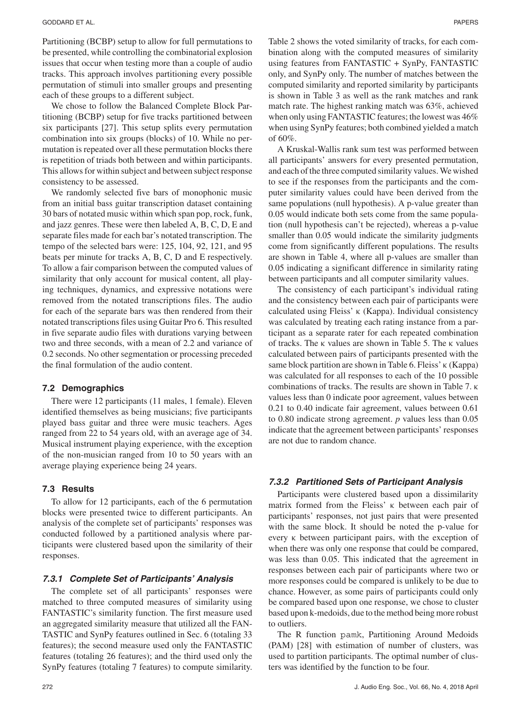Partitioning (BCBP) setup to allow for full permutations to be presented, while controlling the combinatorial explosion issues that occur when testing more than a couple of audio tracks. This approach involves partitioning every possible permutation of stimuli into smaller groups and presenting each of these groups to a different subject.

We chose to follow the Balanced Complete Block Partitioning (BCBP) setup for five tracks partitioned between six participants [27]. This setup splits every permutation combination into six groups (blocks) of 10. While no permutation is repeated over all these permutation blocks there is repetition of triads both between and within participants. This allows for within subject and between subject response consistency to be assessed.

We randomly selected five bars of monophonic music from an initial bass guitar transcription dataset containing 30 bars of notated music within which span pop, rock, funk, and jazz genres. These were then labeled A, B, C, D, E and separate files made for each bar's notated transcription. The tempo of the selected bars were: 125, 104, 92, 121, and 95 beats per minute for tracks A, B, C, D and E respectively. To allow a fair comparison between the computed values of similarity that only account for musical content, all playing techniques, dynamics, and expressive notations were removed from the notated transcriptions files. The audio for each of the separate bars was then rendered from their notated transcriptions files using Guitar Pro 6. This resulted in five separate audio files with durations varying between two and three seconds, with a mean of 2.2 and variance of 0.2 seconds. No other segmentation or processing preceded the final formulation of the audio content.

## **7.2 Demographics**

There were 12 participants (11 males, 1 female). Eleven identified themselves as being musicians; five participants played bass guitar and three were music teachers. Ages ranged from 22 to 54 years old, with an average age of 34. Musical instrument playing experience, with the exception of the non-musician ranged from 10 to 50 years with an average playing experience being 24 years.

#### **7.3 Results**

To allow for 12 participants, each of the 6 permutation blocks were presented twice to different participants. An analysis of the complete set of participants' responses was conducted followed by a partitioned analysis where participants were clustered based upon the similarity of their responses.

## **7.3.1 Complete Set of Participants' Analysis**

The complete set of all participants' responses were matched to three computed measures of similarity using FANTASTIC's similarity function. The first measure used an aggregated similarity measure that utilized all the FAN-TASTIC and SynPy features outlined in Sec. 6 (totaling 33 features); the second measure used only the FANTASTIC features (totaling 26 features); and the third used only the SynPy features (totaling 7 features) to compute similarity. Table 2 shows the voted similarity of tracks, for each combination along with the computed measures of similarity using features from FANTASTIC + SynPy, FANTASTIC only, and SynPy only. The number of matches between the computed similarity and reported similarity by participants is shown in Table 3 as well as the rank matches and rank match rate. The highest ranking match was 63%, achieved when only using FANTASTIC features; the lowest was 46% when using SynPy features; both combined yielded a match of 60%.

A Kruskal-Wallis rank sum test was performed between all participants' answers for every presented permutation, and each of the three computed similarity values. We wished to see if the responses from the participants and the computer similarity values could have been derived from the same populations (null hypothesis). A p-value greater than 0.05 would indicate both sets come from the same population (null hypothesis can't be rejected), whereas a p-value smaller than 0.05 would indicate the similarity judgments come from significantly different populations. The results are shown in Table 4, where all p-values are smaller than 0.05 indicating a significant difference in similarity rating between participants and all computer similarity values.

The consistency of each participant's individual rating and the consistency between each pair of participants were calculated using Fleiss' κ (Kappa). Individual consistency was calculated by treating each rating instance from a participant as a separate rater for each repeated combination of tracks. The κ values are shown in Table 5. The κ values calculated between pairs of participants presented with the same block partition are shown in Table 6. Fleiss' κ (Kappa) was calculated for all responses to each of the 10 possible combinations of tracks. The results are shown in Table 7. κ values less than 0 indicate poor agreement, values between 0.21 to 0.40 indicate fair agreement, values between 0.61 to 0.80 indicate strong agreement. *p* values less than 0.05 indicate that the agreement between participants' responses are not due to random chance.

# **7.3.2 Partitioned Sets of Participant Analysis**

Participants were clustered based upon a dissimilarity matrix formed from the Fleiss' κ between each pair of participants' responses, not just pairs that were presented with the same block. It should be noted the p-value for every κ between participant pairs, with the exception of when there was only one response that could be compared, was less than 0.05. This indicated that the agreement in responses between each pair of participants where two or more responses could be compared is unlikely to be due to chance. However, as some pairs of participants could only be compared based upon one response, we chose to cluster based upon k-medoids, due to the method being more robust to outliers.

The R function pamk, Partitioning Around Medoids (PAM) [28] with estimation of number of clusters, was used to partition participants. The optimal number of clusters was identified by the function to be four.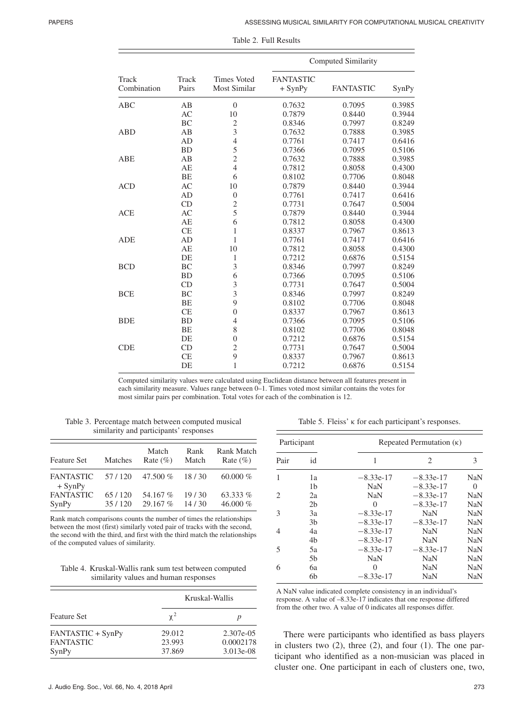| Table 2. Full Results |  |  |
|-----------------------|--|--|
|-----------------------|--|--|

|                      |                |                                           | <b>Computed Similarity</b>    |                  |        |  |
|----------------------|----------------|-------------------------------------------|-------------------------------|------------------|--------|--|
| Track<br>Combination | Track<br>Pairs | <b>Times Voted</b><br><b>Most Similar</b> | <b>FANTASTIC</b><br>$+$ SynPy | <b>FANTASTIC</b> | SynPy  |  |
| ABC                  | AB             | $\overline{0}$                            | 0.7632                        | 0.7095           | 0.3985 |  |
|                      | AC             | 10                                        | 0.7879                        | 0.8440           | 0.3944 |  |
|                      | BC             | $\overline{c}$                            | 0.8346                        | 0.7997           | 0.8249 |  |
| <b>ABD</b>           | AB             | 3                                         | 0.7632                        | 0.7888           | 0.3985 |  |
|                      | AD             | $\overline{4}$                            | 0.7761                        | 0.7417           | 0.6416 |  |
|                      | <b>BD</b>      | 5                                         | 0.7366                        | 0.7095           | 0.5106 |  |
| ABE                  | AB             | $\overline{c}$                            | 0.7632                        | 0.7888           | 0.3985 |  |
|                      | AE             | $\overline{4}$                            | 0.7812                        | 0.8058           | 0.4300 |  |
|                      | BE             | 6                                         | 0.8102                        | 0.7706           | 0.8048 |  |
| <b>ACD</b>           | AC             | 10                                        | 0.7879                        | 0.8440           | 0.3944 |  |
|                      | AD             | $\overline{0}$                            | 0.7761                        | 0.7417           | 0.6416 |  |
|                      | CD             | $\overline{c}$                            | 0.7731                        | 0.7647           | 0.5004 |  |
| <b>ACE</b>           | AC             | 5                                         | 0.7879                        | 0.8440           | 0.3944 |  |
|                      | AE             | 6                                         | 0.7812                        | 0.8058           | 0.4300 |  |
|                      | <b>CE</b>      | 1                                         | 0.8337                        | 0.7967           | 0.8613 |  |
| <b>ADE</b>           | AD             | 1                                         | 0.7761                        | 0.7417           | 0.6416 |  |
|                      | AE             | 10                                        | 0.7812                        | 0.8058           | 0.4300 |  |
|                      | DE             | 1                                         | 0.7212                        | 0.6876           | 0.5154 |  |
| <b>BCD</b>           | BC             | 3                                         | 0.8346                        | 0.7997           | 0.8249 |  |
|                      | <b>BD</b>      | 6                                         | 0.7366                        | 0.7095           | 0.5106 |  |
|                      | CD             | 3                                         | 0.7731                        | 0.7647           | 0.5004 |  |
| <b>BCE</b>           | BC             | 3                                         | 0.8346                        | 0.7997           | 0.8249 |  |
|                      | BE             | 9                                         | 0.8102                        | 0.7706           | 0.8048 |  |
|                      | <b>CE</b>      | $\overline{0}$                            | 0.8337                        | 0.7967           | 0.8613 |  |
| <b>BDE</b>           | <b>BD</b>      | $\overline{4}$                            | 0.7366                        | 0.7095           | 0.5106 |  |
|                      | <b>BE</b>      | 8                                         | 0.8102                        | 0.7706           | 0.8048 |  |
|                      | DE             | $\overline{0}$                            | 0.7212                        | 0.6876           | 0.5154 |  |
| <b>CDE</b>           | CD             | $\overline{2}$                            | 0.7731                        | 0.7647           | 0.5004 |  |
|                      | <b>CE</b>      | 9                                         | 0.8337                        | 0.7967           | 0.8613 |  |
|                      | DE             | 1                                         | 0.7212                        | 0.6876           | 0.5154 |  |

Computed similarity values were calculated using Euclidean distance between all features present in each similarity measure. Values range between 0–1. Times voted most similar contains the votes for most similar pairs per combination. Total votes for each of the combination is 12.

Table 3. Percentage match between computed musical similarity and participants' responses

Table 5. Fleiss' κ for each participant's responses.

| <b>Feature Set</b>            | Matches          | Match<br>Rate $(\% )$ | Rank<br>Match  | Rank Match<br>Rate $(\%)$ |
|-------------------------------|------------------|-----------------------|----------------|---------------------------|
| <b>FANTASTIC</b><br>$+$ SynPy | 57/120           | 47.500 $%$            | 18/30          | 60,000 $%$                |
| <b>FANTASTIC</b><br>SynPy     | 65/120<br>35/120 | 54.167 %<br>29.167%   | 19/30<br>14/30 | 63.333 %<br>46.000 %      |

Rank match comparisons counts the number of times the relationships between the most (first) similarly voted pair of tracks with the second, the second with the third, and first with the third match the relationships of the computed values of similarity.

Table 4. Kruskal-Wallis rank sum test between computed similarity values and human responses

|                           | Kruskal-Wallis   |                        |  |
|---------------------------|------------------|------------------------|--|
| <b>Feature Set</b>        | $\chi^2$         | p                      |  |
| FANTASTIC + SynPy         | 29.012           | 2.307e-05              |  |
| <b>FANTASTIC</b><br>SynPy | 23.993<br>37.869 | 0.0002178<br>3.013e-08 |  |

| Participant |                |             | Repeated Permutation $(\kappa)$ |            |  |  |
|-------------|----------------|-------------|---------------------------------|------------|--|--|
| id<br>Pair  |                | 1           | 2                               | 3          |  |  |
| 1           | 1a             | $-8.33e-17$ | $-8.33e-17$                     | NaN        |  |  |
|             | 1 <sub>b</sub> | <b>NaN</b>  | $-8.33e-17$                     | 0          |  |  |
| 2           | 2a             | <b>NaN</b>  | $-8.33e-17$                     | <b>NaN</b> |  |  |
|             | 2 <sub>b</sub> | $\Omega$    | $-8.33e-17$                     | <b>NaN</b> |  |  |
| 3           | За             | $-8.33e-17$ | <b>NaN</b>                      | <b>NaN</b> |  |  |
|             | 3 <sub>b</sub> | $-8.33e-17$ | $-8.33e-17$                     | NaN        |  |  |
| 4           | 4a             | $-8.33e-17$ | <b>NaN</b>                      | <b>NaN</b> |  |  |
|             | 4b             | $-8.33e-17$ | <b>NaN</b>                      | <b>NaN</b> |  |  |
| 5           | 5a             | $-8.33e-17$ | $-8.33e-17$                     | <b>NaN</b> |  |  |
|             | 5b             | NaN         | NaN                             | NaN        |  |  |
| 6           | ба             | $\Omega$    | <b>NaN</b>                      | <b>NaN</b> |  |  |
|             | 6b             | $-8.33e-17$ | <b>NaN</b>                      | <b>NaN</b> |  |  |

A NaN value indicated complete consistency in an individual's response. A value of –8.33e-17 indicates that one response differed from the other two. A value of 0 indicates all responses differ.

There were participants who identified as bass players in clusters two (2), three (2), and four (1). The one participant who identified as a non-musician was placed in cluster one. One participant in each of clusters one, two,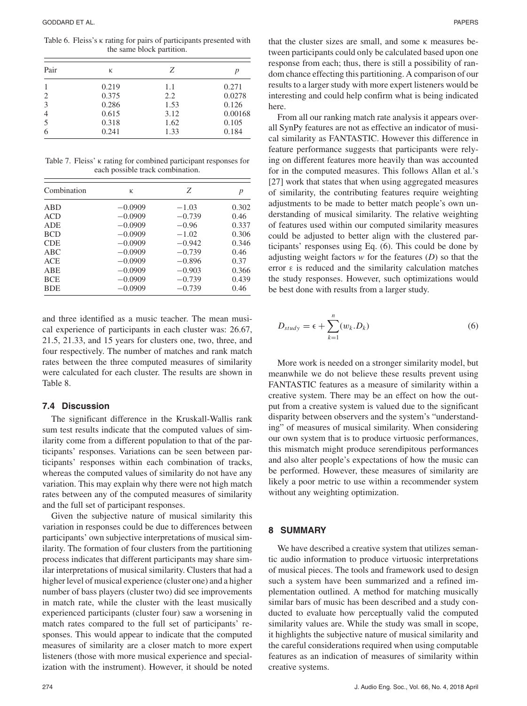Table 6. Fleiss's κ rating for pairs of participants presented with the same block partition.

| Pair           | К     | Z    | р       |
|----------------|-------|------|---------|
|                | 0.219 | 1.1  | 0.271   |
| 2              | 0.375 | 2.2  | 0.0278  |
| 3              | 0.286 | 1.53 | 0.126   |
| $\overline{4}$ | 0.615 | 3.12 | 0.00168 |
| 5              | 0.318 | 1.62 | 0.105   |
| 6              | 0.241 | 1.33 | 0.184   |
|                |       |      |         |

Table 7. Fleiss' κ rating for combined participant responses for each possible track combination.

| Combination | К         | Z        | $\boldsymbol{p}$ |
|-------------|-----------|----------|------------------|
| <b>ABD</b>  | $-0.0909$ | $-1.03$  | 0.302            |
| <b>ACD</b>  | $-0.0909$ | $-0.739$ | 0.46             |
| <b>ADE</b>  | $-0.0909$ | $-0.96$  | 0.337            |
| <b>BCD</b>  | $-0.0909$ | $-1.02$  | 0.306            |
| <b>CDE</b>  | $-0.0909$ | $-0.942$ | 0.346            |
| ABC         | $-0.0909$ | $-0.739$ | 0.46             |
| <b>ACE</b>  | $-0.0909$ | $-0.896$ | 0.37             |
| <b>ABE</b>  | $-0.0909$ | $-0.903$ | 0.366            |
| <b>BCE</b>  | $-0.0909$ | $-0.739$ | 0.439            |
| <b>BDE</b>  | $-0.0909$ | $-0.739$ | 0.46             |

and three identified as a music teacher. The mean musical experience of participants in each cluster was: 26.67, 21.5, 21.33, and 15 years for clusters one, two, three, and four respectively. The number of matches and rank match rates between the three computed measures of similarity were calculated for each cluster. The results are shown in Table 8.

#### **7.4 Discussion**

The significant difference in the Kruskall-Wallis rank sum test results indicate that the computed values of similarity come from a different population to that of the participants' responses. Variations can be seen between participants' responses within each combination of tracks, whereas the computed values of similarity do not have any variation. This may explain why there were not high match rates between any of the computed measures of similarity and the full set of participant responses.

Given the subjective nature of musical similarity this variation in responses could be due to differences between participants' own subjective interpretations of musical similarity. The formation of four clusters from the partitioning process indicates that different participants may share similar interpretations of musical similarity. Clusters that had a higher level of musical experience (cluster one) and a higher number of bass players (cluster two) did see improvements in match rate, while the cluster with the least musically experienced participants (cluster four) saw a worsening in match rates compared to the full set of participants' responses. This would appear to indicate that the computed measures of similarity are a closer match to more expert listeners (those with more musical experience and specialization with the instrument). However, it should be noted

that the cluster sizes are small, and some κ measures between participants could only be calculated based upon one response from each; thus, there is still a possibility of random chance effecting this partitioning. A comparison of our results to a larger study with more expert listeners would be interesting and could help confirm what is being indicated here.

From all our ranking match rate analysis it appears overall SynPy features are not as effective an indicator of musical similarity as FANTASTIC. However this difference in feature performance suggests that participants were relying on different features more heavily than was accounted for in the computed measures. This follows Allan et al.'s [27] work that states that when using aggregated measures of similarity, the contributing features require weighting adjustments to be made to better match people's own understanding of musical similarity. The relative weighting of features used within our computed similarity measures could be adjusted to better align with the clustered participants' responses using Eq. (6). This could be done by adjusting weight factors *w* for the features (*D*) so that the error  $\varepsilon$  is reduced and the similarity calculation matches the study responses. However, such optimizations would be best done with results from a larger study.

$$
D_{study} = \epsilon + \sum_{k=1}^{n} (w_k . D_k)
$$
\n<sup>(6)</sup>

More work is needed on a stronger similarity model, but meanwhile we do not believe these results prevent using FANTASTIC features as a measure of similarity within a creative system. There may be an effect on how the output from a creative system is valued due to the significant disparity between observers and the system's "understanding" of measures of musical similarity. When considering our own system that is to produce virtuosic performances, this mismatch might produce serendipitous performances and also alter people's expectations of how the music can be performed. However, these measures of similarity are likely a poor metric to use within a recommender system without any weighting optimization.

#### **8 SUMMARY**

We have described a creative system that utilizes semantic audio information to produce virtuosic interpretations of musical pieces. The tools and framework used to design such a system have been summarized and a refined implementation outlined. A method for matching musically similar bars of music has been described and a study conducted to evaluate how perceptually valid the computed similarity values are. While the study was small in scope, it highlights the subjective nature of musical similarity and the careful considerations required when using computable features as an indication of measures of similarity within creative systems.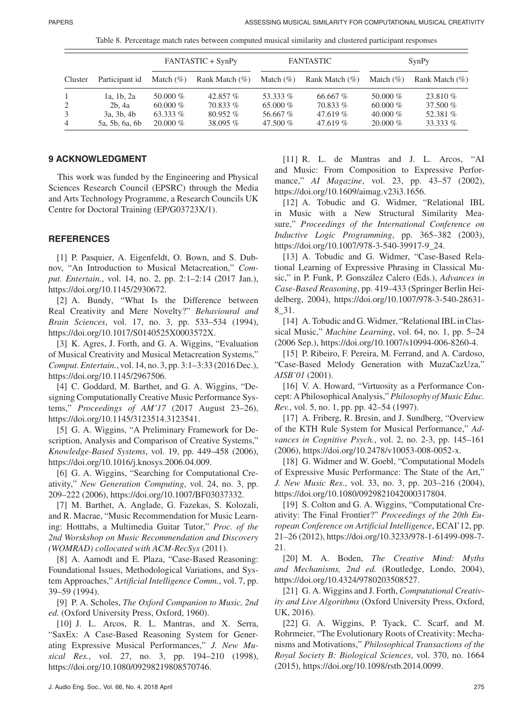| Cluster        | FANTASTIC + SynPy |              | <b>FANTASTIC</b>  |              | SynPy             |              |                   |
|----------------|-------------------|--------------|-------------------|--------------|-------------------|--------------|-------------------|
|                | Participant id    | Match $(\%)$ | Rank Match $(\%)$ | Match $(\%)$ | Rank Match $(\%)$ | Match $(\%)$ | Rank Match $(\%)$ |
|                | 1a, 1b, 2a        | 50.000 $\%$  | 42.857 $%$        | 53.333 %     | 66.667%           | 50.000 $%$   | $23.810\%$        |
| 2              | 2b. 4a            | 60.000 $%$   | $70.833\%$        | 65.000 $%$   | $70.833\%$        | $60.000\%$   | $37.500\%$        |
| 3              | 3a, 3b, 4b        | 63.333 $%$   | $80.952\%$        | 56.667 $%$   | 47.619 $%$        | 40,000 $%$   | 52.381 %          |
| $\overline{4}$ | 5a, 5b, 6a, 6b    | $20.000\%$   | $38.095\%$        | 47.500 $%$   | 47.619 $%$        | $20.000\%$   | 33.333 $%$        |

Table 8. Percentage match rates between computed musical similarity and clustered participant responses

## **9 ACKNOWLEDGMENT**

This work was funded by the Engineering and Physical Sciences Research Council (EPSRC) through the Media and Arts Technology Programme, a Research Councils UK Centre for Doctoral Training (EP/G03723X/1).

## **REFERENCES**

[1] P. Pasquier, A. Eigenfeldt, O. Bown, and S. Dubnov, "An Introduction to Musical Metacreation," *Comput. Entertain.*, vol. 14, no. 2, pp. 2:1–2:14 (2017 Jan.), https://doi.org/10.1145/2930672.

[2] A. Bundy, "What Is the Difference between Real Creativity and Mere Novelty?" *Behavioural and Brain Sciences*, vol. 17, no. 3, pp. 533–534 (1994), https://doi.org/10.1017/S0140525X0003572X.

[3] K. Agres, J. Forth, and G. A. Wiggins, "Evaluation of Musical Creativity and Musical Metacreation Systems," *Comput. Entertain.*, vol. 14, no. 3, pp. 3:1–3:33 (2016 Dec.), https://doi.org/10.1145/2967506.

[4] C. Goddard, M. Barthet, and G. A. Wiggins, "Designing Computationally Creative Music Performance Systems," *Proceedings of AM'17* (2017 August 23–26), https://doi.org/10.1145/3123514.3123541.

[5] G. A. Wiggins, "A Preliminary Framework for Description, Analysis and Comparison of Creative Systems," *Knowledge-Based Systems*, vol. 19, pp. 449–458 (2006), https://doi.org/10.1016/j.knosys.2006.04.009.

[6] G. A. Wiggins, "Searching for Computational Creativity," *New Generation Computing*, vol. 24, no. 3, pp. 209–222 (2006), https://doi.org/10.1007/BF03037332.

[7] M. Barthet, A. Anglade, G. Fazekas, S. Kolozali, and R. Macrae, "Music Recommendation for Music Learning: Hotttabs, a Multimedia Guitar Tutor," *Proc. of the 2nd Worskshop on Music Recommendation and Discovery (WOMRAD) collocated with ACM-RecSys* (2011).

[8] A. Aamodt and E. Plaza, "Case-Based Reasoning: Foundational Issues, Methodological Variations, and System Approaches," *Artificial Intelligence Comm.*, vol. 7, pp. 39–59 (1994).

[9] P. A. Scholes, *The Oxford Companion to Music, 2nd ed.* (Oxford University Press, Oxford, 1960).

[10] J. L. Arcos, R. L. Mantras, and X. Serra, "SaxEx: A Case-Based Reasoning System for Generating Expressive Musical Performances," *J. New Musical Res.*, vol. 27, no. 3, pp. 194–210 (1998), https://doi.org/10.1080/09298219808570746.

[11] R. L. de Mantras and J. L. Arcos, "AI and Music: From Composition to Expressive Performance," *AI Magazine*, vol. 23, pp. 43–57 (2002), https://doi.org/10.1609/aimag.v23i3.1656.

[12] A. Tobudic and G. Widmer, "Relational IBL in Music with a New Structural Similarity Measure," *Proceedings of the International Conference on Inductive Logic Programming*, pp. 365–382 (2003), https://doi.org/10.1007/978-3-540-39917-9\_24.

[13] A. Tobudic and G. Widmer, "Case-Based Relational Learning of Expressive Phrasing in Classical Music," in P. Funk, P. Gonszález Calero (Eds.), *Advances in Case-Based Reasoning*, pp. 419–433 (Springer Berlin Heidelberg, 2004), https://doi.org/10.1007/978-3-540-28631- 8\_31.

[14] A. Tobudic and G. Widmer, "Relational IBL in Classical Music," *Machine Learning*, vol. 64, no. 1, pp. 5–24 (2006 Sep.), https://doi.org/10.1007/s10994-006-8260-4.

[15] P. Ribeiro, F. Pereira, M. Ferrand, and A. Cardoso, "Case-Based Melody Generation with MuzaCazUza," *AISB'01* (2001).

[16] V. A. Howard, "Virtuosity as a Performance Concept: A Philosophical Analysis,"*Philosophy of Music Educ. Rev.*, vol. 5, no. 1, pp. pp. 42–54 (1997).

[17] A. Friberg, R. Bresin, and J. Sundberg, "Overview" of the KTH Rule System for Musical Performance," *Advances in Cognitive Psych.*, vol. 2, no. 2-3, pp. 145–161 (2006), https://doi.org/10.2478/v10053-008-0052-x.

[18] G. Widmer and W. Goebl, "Computational Models of Expressive Music Performance: The State of the Art," *J. New Music Res.*, vol. 33, no. 3, pp. 203–216 (2004), https://doi.org/10.1080/0929821042000317804.

[19] S. Colton and G. A. Wiggins, "Computational Creativity: The Final Frontier?" *Proceedings of the 20th European Conference on Artificial Intelligence*, ECAI'12, pp. 21–26 (2012), https://doi.org/10.3233/978-1-61499-098-7- 21.

[20] M. A. Boden, *The Creative Mind: Myths and Mechanisms, 2nd ed.* (Routledge, Londo, 2004), https://doi.org/10.4324/9780203508527.

[21] G. A. Wiggins and J. Forth, *Computational Creativity and Live Algorithms* (Oxford University Press, Oxford, UK, 2016).

[22] G. A. Wiggins, P. Tyack, C. Scarf, and M. Rohrmeier, "The Evolutionary Roots of Creativity: Mechanisms and Motivations," *Philosophical Transactions of the Royal Society B: Biological Sciences*, vol. 370, no. 1664 (2015), https://doi.org/10.1098/rstb.2014.0099.